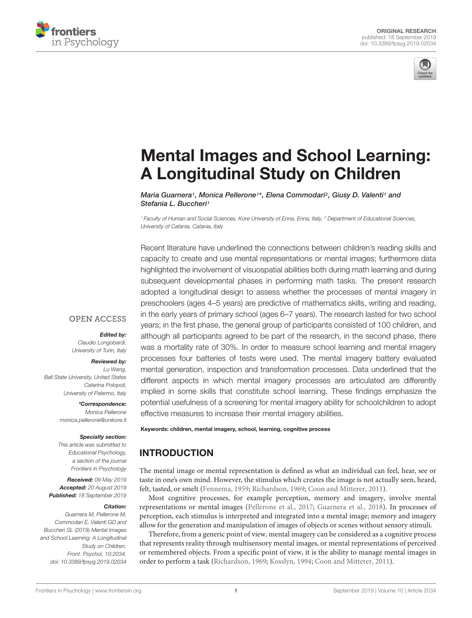



# [Mental Images and School Learning:](https://www.frontiersin.org/articles/10.3389/fpsyg.2019.02034/full) A Longitudinal Study on Children

[Maria Guarnera](http://loop.frontiersin.org/people/763698/overview)1, [Monica Pellerone](http://loop.frontiersin.org/people/225243/overview)1\*, [Elena Commodari](http://loop.frontiersin.org/people/736459/overview)<sup>2</sup>, [Giusy D. Valenti](http://loop.frontiersin.org/people/799405/overview)1 and [Stefania L. Buccheri](http://loop.frontiersin.org/people/764439/overview)<sup>1</sup>

<sup>1</sup> Faculty of Human and Social Sciences, Kore University of Enna, Enna, Italy, <sup>2</sup> Department of Educational Sciences, University of Catania, Catania, Italy

Recent literature have underlined the connections between children's reading skills and capacity to create and use mental representations or mental images; furthermore data highlighted the involvement of visuospatial abilities both during math learning and during subsequent developmental phases in performing math tasks. The present research adopted a longitudinal design to assess whether the processes of mental imagery in preschoolers (ages 4–5 years) are predictive of mathematics skills, writing and reading, in the early years of primary school (ages 6–7 years). The research lasted for two school years; in the first phase, the general group of participants consisted of 100 children, and although all participants agreed to be part of the research, in the second phase, there was a mortality rate of 30%. In order to measure school learning and mental imagery processes four batteries of tests were used. The mental imagery battery evaluated mental generation, inspection and transformation processes. Data underlined that the different aspects in which mental imagery processes are articulated are differently implied in some skills that constitute school learning. These findings emphasize the potential usefulness of a screening for mental imagery ability for schoolchildren to adopt effective measures to increase their mental imagery abilities.

### **OPEN ACCESS**

#### Edited by:

Claudio Longobardi, University of Turin, Italy

#### Reviewed by:

Lu Wang, Ball State University, United States Caterina Polopoli, University of Palermo, Italy

> \*Correspondence: Monica Pellerone monica.pellerone@unikore.it

#### Specialty section:

This article was submitted to Educational Psychology, a section of the journal Frontiers in Psychology

Received: 09 May 2019 Accepted: 20 August 2019 Published: 18 September 2019

#### Citation:

Guarnera M, Pellerone M, Commodari E, Valenti GD and Buccheri SL (2019) Mental Images and School Learning: A Longitudinal Study on Children. Front. Psychol. 10:2034. doi: [10.3389/fpsyg.2019.02034](https://doi.org/10.3389/fpsyg.2019.02034)

Keywords: children, mental imagery, school, learning, cognitive process

# **INTRODUCTION**

The mental image or mental representation is defined as what an individual can feel, hear, see or taste in one's own mind. However, the stimulus which creates the image is not actually seen, heard, felt, tasted, or smelt [\(Fennema,](#page-10-0) [1959;](#page-10-0) [Richardson,](#page-12-0) [1969;](#page-12-0) [Coon and Mitterer,](#page-10-1) [2011\)](#page-10-1).

Most cognitive processes, for example perception, memory and imagery, involve mental representations or mental images [\(Pellerone et al.,](#page-11-0) [2017;](#page-11-0) [Guarnera et al.,](#page-11-1) [2018\)](#page-11-1). In processes of perception, each stimulus is interpreted and integrated into a mental image; memory and imagery allow for the generation and manipulation of images of objects or scenes without sensory stimuli.

Therefore, from a generic point of view, mental imagery can be considered as a cognitive process that represents reality through multisensory mental images, or mental representations of perceived or remembered objects. From a specific point of view, it is the ability to manage mental images in order to perform a task [\(Richardson,](#page-12-0) [1969;](#page-12-0) [Kosslyn,](#page-11-2) [1994;](#page-11-2) [Coon and Mitterer,](#page-10-1) [2011\)](#page-10-1).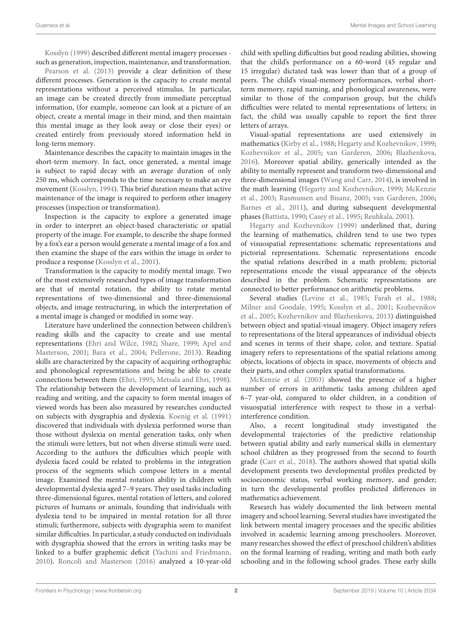[Kosslyn](#page-11-3) [\(1999\)](#page-11-3) described different mental imagery processes such as generation, inspection, maintenance, and transformation.

[Pearson et al.](#page-11-4) [\(2013\)](#page-11-4) provide a clear definition of these different processes. Generation is the capacity to create mental representations without a perceived stimulus. In particular, an image can be created directly from immediate perceptual information, (for example, someone can look at a picture of an object, create a mental image in their mind, and then maintain this mental image as they look away or close their eyes) or created entirely from previously stored information held in long-term memory.

Maintenance describes the capacity to maintain images in the short-term memory. In fact, once generated, a mental image is subject to rapid decay with an average duration of only 250 ms, which corresponds to the time necessary to make an eye movement [\(Kosslyn,](#page-11-2) [1994\)](#page-11-2). This brief duration means that active maintenance of the image is required to perform other imagery processes (inspection or transformation).

Inspection is the capacity to explore a generated image in order to interpret an object-based characteristic or spatial property of the image. For example, to describe the shape formed by a fox's ear a person would generate a mental image of a fox and then examine the shape of the ears within the image in order to produce a response [\(Kosslyn et al.,](#page-11-5) [2001\)](#page-11-5).

Transformation is the capacity to modify mental image. Two of the most extensively researched types of image transformation are that of mental rotation, the ability to rotate mental representations of two-dimensional and three-dimensional objects, and image restructuring, in which the interpretation of a mental image is changed or modified in some way.

Literature have underlined the connection between children's reading skills and the capacity to create and use mental representations [\(Ehri and Wilce,](#page-10-2) [1982;](#page-10-2) [Share,](#page-12-1) [1999;](#page-12-1) [Apel and](#page-10-3) [Masterson,](#page-10-3) [2001;](#page-10-3) [Bara et al.,](#page-10-4) [2004;](#page-10-4) [Pellerone,](#page-11-6) [2013\)](#page-11-6). Reading skills are characterized by the capacity of acquiring orthographic and phonological representations and being be able to create connections between them [\(Ehri,](#page-10-5) [1995;](#page-10-5) [Metsala and Ehri,](#page-11-7) [1998\)](#page-11-7). The relationship between the development of learning, such as reading and writing, and the capacity to form mental images of viewed words has been also measured by researches conducted on subjects with dysgraphia and dyslexia. [Koenig et al.](#page-11-8) [\(1991\)](#page-11-8) discovered that individuals with dyslexia performed worse than those without dyslexia on mental generation tasks, only when the stimuli were letters, but not when diverse stimuli were used. According to the authors the difficulties which people with dyslexia faced could be related to problems in the integration process of the segments which compose letters in a mental image. Examined the mental rotation ability in children with developmental dyslexia aged 7–9 years. They used tasks including three-dimensional figures, mental rotation of letters, and colored pictures of humans or animals, founding that individuals with dyslexia tend to be impaired in mental rotation for all three stimuli; furthermore, subjects with dysgraphia seem to manifest similar difficulties. In particular, a study conducted on individuals with dysgraphia showed that the errors in writing tasks may be linked to a buffer graphemic deficit [\(Yachini and Friedmann,](#page-12-2) [2010\)](#page-12-2). [Roncoli and Masterson](#page-12-3) [\(2016\)](#page-12-3) analyzed a 10-year-old

child with spelling difficulties but good reading abilities, showing that the child's performance on a 60-word (45 regular and 15 irregular) dictated task was lower than that of a group of peers. The child's visual-memory performances, verbal shortterm memory, rapid naming, and phonological awareness, were similar to those of the comparison group, but the child's difficulties were related to mental representations of letters; in fact, the child was usually capable to report the first three letters of arrays.

Visual-spatial representations are used extensively in mathematics [\(Kirby et al.,](#page-11-9) [1988;](#page-11-9) [Hegarty and Kozhevnikov,](#page-11-10) [1999;](#page-11-10) [Kozhevnikov et al.,](#page-11-11) [2005;](#page-11-11) [van Garderen,](#page-12-4) [2006;](#page-12-4) [Blazhenkova,](#page-10-6) [2016\)](#page-10-6). Moreover spatial ability, generically intended as the ability to mentally represent and transform two-dimensional and three-dimensional images [\(Wang and Carr,](#page-12-5) [2014\)](#page-12-5), is involved in the math learning [\(Hegarty and Kozhevnikov,](#page-11-10) [1999;](#page-11-10) [McKenzie](#page-11-12) [et al.,](#page-11-12) [2003;](#page-11-12) [Rasmussen and Bisanz,](#page-12-6) [2005;](#page-12-6) [van Garderen,](#page-12-4) [2006;](#page-12-4) [Barnes et al.,](#page-10-7) [2011\)](#page-10-7), and during subsequent developmental phases [\(Battista,](#page-10-8) [1990;](#page-10-8) [Casey et al.,](#page-10-9) [1995;](#page-10-9) [Reuhkala,](#page-12-7) [2001\)](#page-12-7).

[Hegarty and Kozhevnikov](#page-11-10) [\(1999\)](#page-11-10) underlined that, during the learning of mathematics, children tend to use two types of visuospatial representations: schematic representations and pictorial representations. Schematic representations encode the spatial relations described in a math problem; pictorial representations encode the visual appearance of the objects described in the problem. Schematic representations are connected to better performance on arithmetic problems.

Several studies [\(Levine et al.,](#page-11-13) [1985;](#page-11-13) [Farah et al.,](#page-10-10) [1988;](#page-10-10) [Milner and Goodale,](#page-11-14) [1995;](#page-11-14) [Kosslyn et al.,](#page-11-5) [2001;](#page-11-5) [Kozhevnikov](#page-11-11) [et al.,](#page-11-11) [2005;](#page-11-11) [Kozhevnikov and Blazhenkova,](#page-11-15) [2013\)](#page-11-15) distinguished between object and spatial-visual imagery. Object imagery refers to representations of the literal appearances of individual objects and scenes in terms of their shape, color, and texture. Spatial imagery refers to representations of the spatial relations among objects, locations of objects in space, movements of objects and their parts, and other complex spatial transformations.

[McKenzie et al.](#page-11-12) [\(2003\)](#page-11-12) showed the presence of a higher number of errors in arithmetic tasks among children aged 6–7 year-old, compared to older children, in a condition of visuospatial interference with respect to those in a verbalinterference condition.

Also, a recent longitudinal study investigated the developmental trajectories of the predictive relationship between spatial ability and early numerical skills in elementary school children as they progressed from the second to fourth grade [\(Carr et al.,](#page-10-11) [2018\)](#page-10-11). The authors showed that spatial skills development presents two developmental profiles predicted by socioeconomic status, verbal working memory, and gender; in turn the developmental profiles predicted differences in mathematics achievement.

Research has widely documented the link between mental imagery and school learning. Several studies have investigated the link between mental imagery processes and the specific abilities involved in academic learning among preschoolers. Moreover, many researches showed the effect of preschool children's abilities on the formal learning of reading, writing and math both early schooling and in the following school grades. These early skills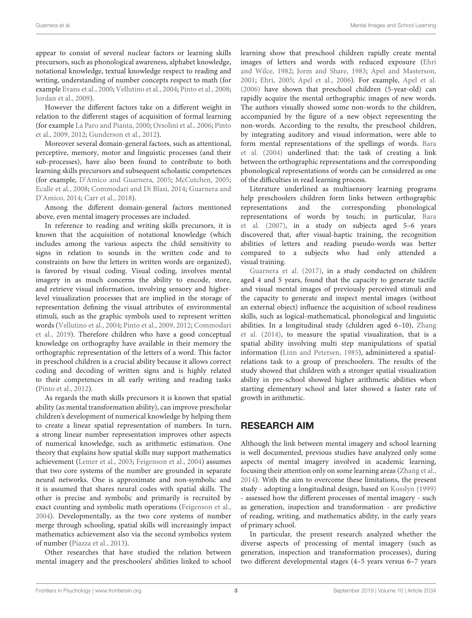appear to consist of several nuclear factors or learning skills precursors, such as phonological awareness, alphabet knowledge, notational knowledge, textual knowledge respect to reading and writing, understanding of number concepts respect to math (for example [Evans et al.,](#page-10-12) [2000;](#page-10-12) [Vellutino et al.,](#page-12-8) [2004;](#page-12-8) [Pinto et al.,](#page-11-16) [2008;](#page-11-16) [Jordan et al.,](#page-11-17) [2009\)](#page-11-17).

However the different factors take on a different weight in relation to the different stages of acquisition of formal learning (for example [La Paro and Pianta,](#page-11-18) [2000;](#page-11-18) [Orsolini et al.,](#page-11-19) [2006;](#page-11-19) [Pinto](#page-11-20) [et al.,](#page-11-20) [2009,](#page-11-20) [2012;](#page-12-9) [Gunderson et al.,](#page-11-21) [2012\)](#page-11-21).

Moreover several domain-general factors, such as attentional, perceptive, memory, motor and linguistic processes (and their sub-processes), have also been found to contribute to both learning skills precursors and subsequent scholastic competences (for example, [D'Amico and Guarnera,](#page-10-13) [2005;](#page-10-13) [McCutchen,](#page-11-22) [2005;](#page-11-22) [Ecalle et al.,](#page-10-14) [2008;](#page-10-14) [Commodari and Di Blasi,](#page-10-15) [2014;](#page-10-15) [Guarnera and](#page-11-23) [D'Amico,](#page-11-23) [2014;](#page-11-23) [Carr et al.,](#page-10-11) [2018\)](#page-10-11).

Among the different domain-general factors mentioned above, even mental imagery processes are included.

In reference to reading and writing skills precursors, it is known that the acquisition of notational knowledge (which includes among the various aspects the child sensitivity to signs in relation to sounds in the written code and to constraints on how the letters in written words are organized), is favored by visual coding. Visual coding, involves mental imagery in as much concerns the ability to encode, store, and retrieve visual information, involving sensory and higherlevel visualization processes that are implied in the storage of representation defining the visual attributes of environmental stimuli, such as the graphic symbols used to represent written words [\(Vellutino et al.,](#page-12-8) [2004;](#page-12-8) [Pinto et al.,](#page-11-20) [2009,](#page-11-20) [2012;](#page-12-9) [Commodari](#page-10-16) [et al.,](#page-10-16) [2019\)](#page-10-16). Therefore children who have a good conceptual knowledge on orthography have available in their memory the orthographic representation of the letters of a word. This factor in preschool children is a crucial ability because it allows correct coding and decoding of written signs and is highly related to their competences in all early writing and reading tasks [\(Pinto et al.,](#page-12-9) [2012\)](#page-12-9).

As regards the math skills precursors it is known that spatial ability (as mental transformation ability), can improve prescholar children's development of numerical knowledge by helping them to create a linear spatial representation of numbers. In turn, a strong linear number representation improves other aspects of numerical knowledge, such as arithmetic estimation. One theory that explains how spatial skills may support mathematics achievement [\(Lemer et al.,](#page-11-24) [2003;](#page-11-24) [Feigenson et al.,](#page-10-17) [2004\)](#page-10-17) assumes that two core systems of the number are grounded in separate neural networks. One is approximate and non-symbolic and it is assumed that shares neural codes with spatial skills. The other is precise and symbolic and primarily is recruited by exact counting and symbolic math operations [\(Feigenson et al.,](#page-10-17) [2004\)](#page-10-17). Developmentally, as the two core systems of number merge through schooling, spatial skills will increasingly impact mathematics achievement also via the second symbolics system of number [\(Piazza et al.,](#page-11-25) [2013\)](#page-11-25).

Other researches that have studied the relation between mental imagery and the preschoolers' abilities linked to school

learning show that preschool children rapidly create mental images of letters and words with reduced exposure [\(Ehri](#page-10-2) [and Wilce,](#page-10-2) [1982;](#page-10-2) [Jorm and Share,](#page-11-26) [1983;](#page-11-26) [Apel and Masterson,](#page-10-3) [2001;](#page-10-3) [Ehri,](#page-10-18) [2005;](#page-10-18) [Apel et al.,](#page-10-19) [2006\)](#page-10-19). For example, [Apel et al.](#page-10-19) [\(2006\)](#page-10-19) have shown that preschool children (5-year-old) can rapidly acquire the mental orthographic images of new words. The authors visually showed some non-words to the children, accompanied by the figure of a new object representing the non-words. According to the results, the preschool children, by integrating auditory and visual information, were able to form mental representations of the spellings of words. [Bara](#page-10-4) [et al.](#page-10-4) [\(2004\)](#page-10-4) underlined that: the task of creating a link between the orthographic representations and the corresponding phonological representations of words can be considered as one of the difficulties in read learning process.

Literature underlined as multisensory learning programs help preschoolers children form links between orthographic representations and the corresponding phonological representations of words by touch; in particular, [Bara](#page-10-20) [et al.](#page-10-20) [\(2007\)](#page-10-20), in a study on subjects aged 5–6 years discovered that, after visual-haptic training, the recognition abilities of letters and reading pseudo-words was better compared to a subjects who had only attended a visual training.

[Guarnera et al.](#page-11-27) [\(2017\)](#page-11-27), in a study conducted on children aged 4 and 5 years, found that the capacity to generate tactile and visual mental images of previously perceived stimuli and the capacity to generate and inspect mental images (without an external object) influence the acquisition of school readiness skills, such as logical-mathematical, phonological and linguistic abilities. In a longitudinal study (children aged 6–10), [Zhang](#page-12-10) [et al.](#page-12-10) [\(2014\)](#page-12-10), to measure the spatial visualization, that is a spatial ability involving multi step manipulations of spatial information [\(Linn and Petersen,](#page-11-28) [1985\)](#page-11-28), administered a spatialrelations task to a group of preschoolers. The results of the study showed that children with a stronger spatial visualization ability in pre-school showed higher arithmetic abilities when starting elementary school and later showed a faster rate of growth in arithmetic.

# RESEARCH AIM

Although the link between mental imagery and school learning is well documented, previous studies have analyzed only some aspects of mental imagery involved in academic learning, focusing their attention only on some learning areas [\(Zhang et al.,](#page-12-10) [2014\)](#page-12-10). With the aim to overcome these limitations, the present study - adopting a longitudinal design, based on [Kosslyn](#page-11-3) [\(1999\)](#page-11-3) assessed how the different processes of mental imagery - such as generation, inspection and transformation - are predictive of reading, writing, and mathematics ability, in the early years of primary school.

In particular, the present research analyzed whether the diverse aspects of processing of mental imagery (such as generation, inspection and transformation processes), during two different developmental stages (4–5 years versus 6–7 years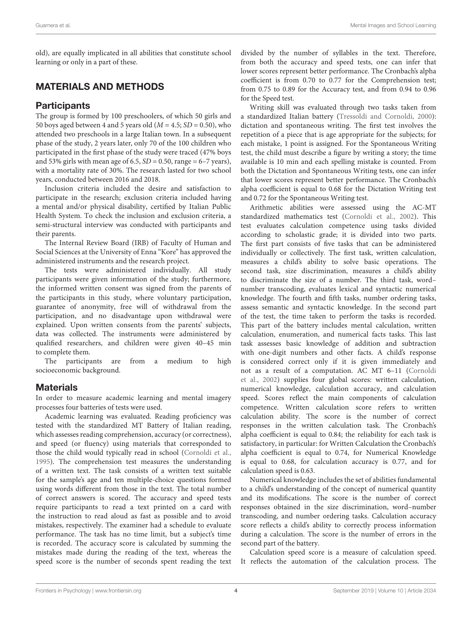old), are equally implicated in all abilities that constitute school learning or only in a part of these.

# MATERIALS AND METHODS

## **Participants**

The group is formed by 100 preschoolers, of which 50 girls and 50 boys aged between 4 and 5 years old ( $M = 4.5$ ; SD = 0.50), who attended two preschools in a large Italian town. In a subsequent phase of the study, 2 years later, only 70 of the 100 children who participated in the first phase of the study were traced (47% boys and 53% girls with mean age of 6.5,  $SD = 0.50$ , range = 6–7 years), with a mortality rate of 30%. The research lasted for two school years, conducted between 2016 and 2018.

Inclusion criteria included the desire and satisfaction to participate in the research; exclusion criteria included having a mental and/or physical disability, certified by Italian Public Health System. To check the inclusion and exclusion criteria, a semi-structural interview was conducted with participants and their parents.

The Internal Review Board (IRB) of Faculty of Human and Social Sciences at the University of Enna "Kore" has approved the administered instruments and the research project.

The tests were administered individually. All study participants were given information of the study; furthermore, the informed written consent was signed from the parents of the participants in this study, where voluntary participation, guarantee of anonymity, free will of withdrawal from the participation, and no disadvantage upon withdrawal were explained. Upon written consents from the parents' subjects, data was collected. The instruments were administered by qualified researchers, and children were given 40–45 min to complete them.

The participants are from a medium to high socioeconomic background.

# **Materials**

In order to measure academic learning and mental imagery processes four batteries of tests were used.

Academic learning was evaluated. Reading proficiency was tested with the standardized MT Battery of Italian reading, which assesses reading comprehension, accuracy (or correctness), and speed (or fluency) using materials that corresponded to those the child would typically read in school [\(Cornoldi et al.,](#page-10-21) [1995\)](#page-10-21). The comprehension test measures the understanding of a written text. The task consists of a written text suitable for the sample's age and ten multiple-choice questions formed using words different from those in the text. The total number of correct answers is scored. The accuracy and speed tests require participants to read a text printed on a card with the instruction to read aloud as fast as possible and to avoid mistakes, respectively. The examiner had a schedule to evaluate performance. The task has no time limit, but a subject's time is recorded. The accuracy score is calculated by summing the mistakes made during the reading of the text, whereas the speed score is the number of seconds spent reading the text divided by the number of syllables in the text. Therefore, from both the accuracy and speed tests, one can infer that lower scores represent better performance. The Cronbach's alpha coefficient is from 0.70 to 0.77 for the Comprehension test; from 0.75 to 0.89 for the Accuracy test, and from 0.94 to 0.96 for the Speed test.

Writing skill was evaluated through two tasks taken from a standardized Italian battery [\(Tressoldi and Cornoldi,](#page-12-11) [2000\)](#page-12-11): dictation and spontaneous writing. The first test involves the repetition of a piece that is age appropriate for the subjects; for each mistake, 1 point is assigned. For the Spontaneous Writing test, the child must describe a figure by writing a story; the time available is 10 min and each spelling mistake is counted. From both the Dictation and Spontaneous Writing tests, one can infer that lower scores represent better performance. The Cronbach's alpha coefficient is equal to 0.68 for the Dictation Writing test and 0.72 for the Spontaneous Writing test.

Arithmetic abilities were assessed using the AC-MT standardized mathematics test [\(Cornoldi et al.,](#page-10-22) [2002\)](#page-10-22). This test evaluates calculation competence using tasks divided according to scholastic grade; it is divided into two parts. The first part consists of five tasks that can be administered individually or collectively. The first task, written calculation, measures a child's ability to solve basic operations. The second task, size discrimination, measures a child's ability to discriminate the size of a number. The third task, word– number transcoding, evaluates lexical and syntactic numerical knowledge. The fourth and fifth tasks, number ordering tasks, assess semantic and syntactic knowledge. In the second part of the test, the time taken to perform the tasks is recorded. This part of the battery includes mental calculation, written calculation, enumeration, and numerical facts tasks. This last task assesses basic knowledge of addition and subtraction with one-digit numbers and other facts. A child's response is considered correct only if it is given immediately and not as a result of a computation. AC MT 6–11 [\(Cornoldi](#page-10-22) [et al.,](#page-10-22) [2002\)](#page-10-22) supplies four global scores: written calculation, numerical knowledge, calculation accuracy, and calculation speed. Scores reflect the main components of calculation competence. Written calculation score refers to written calculation ability. The score is the number of correct responses in the written calculation task. The Cronbach's alpha coefficient is equal to 0.84; the reliability for each task is satisfactory, in particular: for Written Calculation the Cronbach's alpha coefficient is equal to 0.74, for Numerical Knowledge is equal to 0.68, for calculation accuracy is 0.77, and for calculation speed is 0.63.

Numerical knowledge includes the set of abilities fundamental to a child's understanding of the concept of numerical quantity and its modifications. The score is the number of correct responses obtained in the size discrimination, word–number transcoding, and number ordering tasks. Calculation accuracy score reflects a child's ability to correctly process information during a calculation. The score is the number of errors in the second part of the battery.

Calculation speed score is a measure of calculation speed. It reflects the automation of the calculation process. The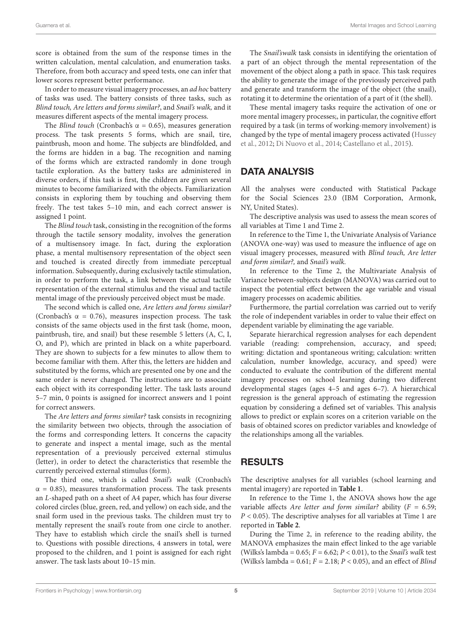score is obtained from the sum of the response times in the written calculation, mental calculation, and enumeration tasks. Therefore, from both accuracy and speed tests, one can infer that lower scores represent better performance.

In order to measure visual imagery processes, an ad hoc battery of tasks was used. The battery consists of three tasks, such as Blind touch, Are letters and forms similar?, and Snail's walk, and it measures different aspects of the mental imagery process.

The Blind touch (Cronbach's  $\alpha = 0.65$ ), measures generation process. The task presents 5 forms, which are snail, tire, paintbrush, moon and home. The subjects are blindfolded, and the forms are hidden in a bag. The recognition and naming of the forms which are extracted randomly in done trough tactile exploration. As the battery tasks are administered in diverse orders, if this task is first, the children are given several minutes to become familiarized with the objects. Familiarization consists in exploring them by touching and observing them freely. The test takes 5–10 min, and each correct answer is assigned 1 point.

The Blind touch task, consisting in the recognition of the forms through the tactile sensory modality, involves the generation of a multisensory image. In fact, during the exploration phase, a mental multisensory representation of the object seen and touched is created directly from immediate perceptual information. Subsequently, during exclusively tactile stimulation, in order to perform the task, a link between the actual tactile representation of the external stimulus and the visual and tactile mental image of the previously perceived object must be made.

The second which is called one, Are letters and forms similar? (Cronbach's  $\alpha = 0.76$ ), measures inspection process. The task consists of the same objects used in the first task (home, moon, paintbrush, tire, and snail) but these resemble 5 letters (A, C, I, O, and P), which are printed in black on a white paperboard. They are shown to subjects for a few minutes to allow them to become familiar with them. After this, the letters are hidden and substituted by the forms, which are presented one by one and the same order is never changed. The instructions are to associate each object with its corresponding letter. The task lasts around 5–7 min, 0 points is assigned for incorrect answers and 1 point for correct answers.

The Are letters and forms similar? task consists in recognizing the similarity between two objects, through the association of the forms and corresponding letters. It concerns the capacity to generate and inspect a mental image, such as the mental representation of a previously perceived external stimulus (letter), in order to detect the characteristics that resemble the currently perceived external stimulus (form).

The third one, which is called Snail's walk (Cronbach's  $\alpha$  = 0.85), measures transformation process. The task presents an L-shaped path on a sheet of A4 paper, which has four diverse colored circles (blue, green, red, and yellow) on each side, and the snail form used in the previous tasks. The children must try to mentally represent the snail's route from one circle to another. They have to establish which circle the snail's shell is turned to. Questions with possible directions, 4 answers in total, were proposed to the children, and 1 point is assigned for each right answer. The task lasts about 10–15 min.

The Snail'swalk task consists in identifying the orientation of a part of an object through the mental representation of the movement of the object along a path in space. This task requires the ability to generate the image of the previously perceived path and generate and transform the image of the object (the snail), rotating it to determine the orientation of a part of it (the shell).

These mental imagery tasks require the activation of one or more mental imagery processes;, in particular, the cognitive effort required by a task (in terms of working-memory involvement) is changed by the type of mental imagery process activated [\(Hussey](#page-11-29) [et al.,](#page-11-29) [2012;](#page-11-29) [Di Nuovo et al.,](#page-10-23) [2014;](#page-10-23) [Castellano et al.,](#page-10-24) [2015\)](#page-10-24).

# DATA ANALYSIS

All the analyses were conducted with Statistical Package for the Social Sciences 23.0 (IBM Corporation, Armonk, NY, United States).

The descriptive analysis was used to assess the mean scores of all variables at Time 1 and Time 2.

In reference to the Time 1, the Univariate Analysis of Variance (ANOVA one-way) was used to measure the influence of age on visual imagery processes, measured with Blind touch, Are letter and form similar?, and Snail's walk.

In reference to the Time 2, the Multivariate Analysis of Variance between-subjects design (MANOVA) was carried out to inspect the potential effect between the age variable and visual imagery processes on academic abilities.

Furthermore, the partial correlation was carried out to verify the role of independent variables in order to value their effect on dependent variable by eliminating the age variable.

Separate hierarchical regression analyses for each dependent variable (reading: comprehension, accuracy, and speed; writing: dictation and spontaneous writing; calculation: written calculation, number knowledge, accuracy, and speed) were conducted to evaluate the contribution of the different mental imagery processes on school learning during two different developmental stages (ages 4–5 and ages 6–7). A hierarchical regression is the general approach of estimating the regression equation by considering a defined set of variables. This analysis allows to predict or explain scores on a criterion variable on the basis of obtained scores on predictor variables and knowledge of the relationships among all the variables.

# RESULTS

The descriptive analyses for all variables (school learning and mental imagery) are reported in **[Table 1](#page-5-0)**.

In reference to the Time 1, the ANOVA shows how the age variable affects Are letter and form similar? ability ( $F = 6.59$ ;  $P < 0.05$ ). The descriptive analyses for all variables at Time 1 are reported in **[Table 2](#page-5-1)**.

During the Time 2, in reference to the reading ability, the MANOVA emphasizes the main effect linked to the age variable (Wilks's lambda =  $0.65$ ;  $F = 6.62$ ;  $P < 0.01$ ), to the *Snail's walk* test (Wilks's lambda =  $0.61; F = 2.18; P < 0.05$ ), and an effect of *Blind*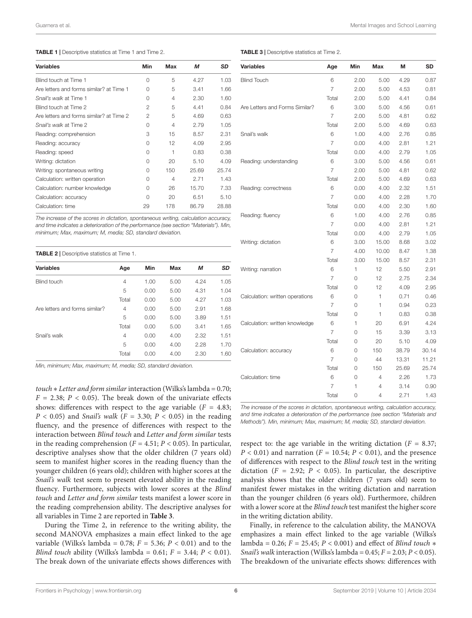#### <span id="page-5-0"></span>TABLE 1 | Descriptive statistics at Time 1 and Time 2.

| <b>Variables</b>                         | Min           | <b>Max</b> | М     | <b>SD</b> |
|------------------------------------------|---------------|------------|-------|-----------|
| Blind touch at Time 1                    | $\Omega$      | 5          | 4.27  | 1.03      |
| Are letters and forms similar? at Time 1 | 0             | 5          | 3.41  | 1.66      |
| Snail's walk at Time 1                   | $\Omega$      | 4          | 2.30  | 1.60      |
| Blind touch at Time 2                    | 2             | 5          | 4.41  | 0.84      |
| Are letters and forms similar? at Time 2 | $\mathcal{P}$ | 5          | 4.69  | 0.63      |
| Snail's walk at Time 2                   | O             | 4          | 2.79  | 1.05      |
| Reading: comprehension                   | 3             | 15         | 8.57  | 2.31      |
| Reading: accuracy                        | $\Omega$      | 12         | 4.09  | 2.95      |
| Reading: speed                           | $\Omega$      | 1          | 0.83  | 0.38      |
| Writing: dictation                       | $\Omega$      | 20         | 5.10  | 4.09      |
| Writing: spontaneous writing             | $\cap$        | 150        | 25.69 | 25.74     |
| Calculation: written operation           | $\Omega$      | 4          | 2.71  | 1.43      |
| Calculation: number knowledge            | $\Omega$      | 26         | 15.70 | 7.33      |
| Calculation: accuracy                    | $\Omega$      | 20         | 6.51  | 5.10      |
| Calculation: time                        | 29            | 178        | 86.79 | 28.88     |

The increase of the scores in dictation, spontaneous writing, calculation accuracy, and time indicates a deterioration of the performance (see section "Materials"). Min, minimum; Max, maximum; M, media; SD, standard deviation.

<span id="page-5-1"></span>

| <b>TABLE 2</b>   Descriptive statistics at Time 1. |                |      |      |      |      |  |  |  |
|----------------------------------------------------|----------------|------|------|------|------|--|--|--|
| <b>Variables</b>                                   | Age            | Min  | Max  | М    | SD   |  |  |  |
| <b>Blind touch</b>                                 | $\overline{4}$ | 1.00 | 5.00 | 4.24 | 1.05 |  |  |  |
|                                                    | 5              | 0.00 | 5.00 | 4.31 | 1.04 |  |  |  |
|                                                    | Total          | 0.00 | 5.00 | 4.27 | 1.03 |  |  |  |
| Are letters and forms similar?                     | 4              | 0.00 | 5.00 | 2.91 | 1.68 |  |  |  |
|                                                    | 5              | 0.00 | 5.00 | 3.89 | 1.51 |  |  |  |
|                                                    | Total          | 0.00 | 5.00 | 3.41 | 1.65 |  |  |  |
| Snail's walk                                       | 4              | 0.00 | 4.00 | 2.32 | 1.51 |  |  |  |
|                                                    | 5              | 0.00 | 4.00 | 2.28 | 1.70 |  |  |  |
|                                                    | Total          | 0.00 | 4.00 | 2.30 | 1.60 |  |  |  |

Min, minimum; Max, maximum; M, media; SD, standard deviation.

touch  $*$  Letter and form similar interaction (Wilks's lambda = 0.70;  $F = 2.38$ ;  $P < 0.05$ ). The break down of the univariate effects shows: differences with respect to the age variable  $(F = 4.83;$  $P < 0.05$ ) and *Snail's walk* ( $F = 3.30$ ;  $P < 0.05$ ) in the reading fluency, and the presence of differences with respect to the interaction between Blind touch and Letter and form similar tests in the reading comprehension ( $F = 4.51$ ;  $P < 0.05$ ). In particular, descriptive analyses show that the older children (7 years old) seem to manifest higher scores in the reading fluency than the younger children (6 years old); children with higher scores at the Snail's walk test seem to present elevated ability in the reading fluency. Furthermore, subjects with lower scores at the Blind touch and Letter and form similar tests manifest a lower score in the reading comprehension ability. The descriptive analyses for all variables in Time 2 are reported in **[Table 3](#page-5-2)**.

During the Time 2, in reference to the writing ability, the second MANOVA emphasizes a main effect linked to the age variable (Wilks's lambda = 0.78;  $F = 5.36$ ;  $P < 0.01$ ) and to the Blind touch ability (Wilks's lambda =  $0.61; F = 3.44; P < 0.01$ ). The break down of the univariate effects shows differences with

<span id="page-5-2"></span>

| <b>Variables</b>                | Age            | Min  | Max   | М     | SD    |
|---------------------------------|----------------|------|-------|-------|-------|
| <b>Blind Touch</b>              | 6              | 2.00 | 5.00  | 4.29  | 0.87  |
|                                 | $\overline{7}$ | 2.00 | 5.00  | 4.53  | 0.81  |
|                                 | Total          | 2.00 | 5.00  | 4.41  | 0.84  |
| Are Letters and Forms Similar?  | 6              | 3.00 | 5.00  | 4.56  | 0.61  |
|                                 | 7              | 2.00 | 5.00  | 4.81  | 0.62  |
|                                 | Total          | 2.00 | 5.00  | 4.69  | 0.63  |
| Snail's walk                    | 6              | 1.00 | 4.00  | 2.76  | 0.85  |
|                                 | $\overline{7}$ | 0.00 | 4.00  | 2.81  | 1.21  |
|                                 | Total          | 0.00 | 4.00  | 2.79  | 1.05  |
| Reading: understanding          | 6              | 3.00 | 5.00  | 4.56  | 0.61  |
|                                 | 7              | 2.00 | 5.00  | 4.81  | 0.62  |
|                                 | Total          | 2.00 | 5.00  | 4.69  | 0.63  |
| Reading: correctness            | 6              | 0.00 | 4.00  | 2.32  | 1.51  |
|                                 | $\overline{7}$ | 0.00 | 4.00  | 2.28  | 1.70  |
|                                 | Total          | 0.00 | 4.00  | 2.30  | 1.60  |
| Reading: fluency                | 6              | 1.00 | 4.00  | 2.76  | 0.85  |
|                                 | 7              | 0.00 | 4.00  | 2.81  | 1.21  |
|                                 | Total          | 0.00 | 4.00  | 2.79  | 1.05  |
| Writing: dictation              | 6              | 3.00 | 15.00 | 8.68  | 3.02  |
|                                 | $\overline{7}$ | 4.00 | 10.00 | 8.47  | 1.38  |
|                                 | Total          | 3.00 | 15.00 | 8.57  | 2.31  |
| Writing: narration              | 6              | 1    | 12    | 5.50  | 2.91  |
|                                 | 7              | 0    | 12    | 2.75  | 2.34  |
|                                 | Total          | 0    | 12    | 4.09  | 2.95  |
| Calculation: written operations | 6              | 0    | 1     | 0.71  | 0.46  |
|                                 | $\overline{7}$ | 0    | 1     | 0.94  | 0.23  |
|                                 | Total          | 0    | 1     | 0.83  | 0.38  |
| Calculation: written knowledge  | 6              | 1    | 20    | 6.91  | 4.24  |
|                                 | 7              | 0    | 15    | 3.39  | 3.13  |
|                                 | Total          | 0    | 20    | 5.10  | 4.09  |
| Calculation: accuracy           | 6              | 0    | 150   | 38.79 | 30.14 |
|                                 | $\overline{7}$ | 0    | 44    | 13.31 | 11.21 |
|                                 | Total          | 0    | 150   | 25.69 | 25.74 |
| Calculation: time               | 6              | 0    | 4     | 2.26  | 1.73  |
|                                 | 7              | 1    | 4     | 3.14  | 0.90  |
|                                 | Total          | 0    | 4     | 2.71  | 1.43  |

The increase of the scores in dictation, spontaneous writing, calculation accuracy, and time indicates a deterioration of the performance (see section "Materials and Methods"). Min, minimum; Max, maximum; M, media; SD, standard deviation.

respect to: the age variable in the writing dictation ( $F = 8.37$ ;  $P < 0.01$ ) and narration ( $F = 10.54$ ;  $P < 0.01$ ), and the presence of differences with respect to the Blind touch test in the writing dictation ( $F = 2.92$ ;  $P < 0.05$ ). In particular, the descriptive analysis shows that the older children (7 years old) seem to manifest fewer mistakes in the writing dictation and narration than the younger children (6 years old). Furthermore, children with a lower score at the Blind touch test manifest the higher score in the writing dictation ability.

Finally, in reference to the calculation ability, the MANOVA emphasizes a main effect linked to the age variable (Wilks's lambda = 0.26;  $F = 25.45$ ;  $P < 0.001$ ) and effect of *Blind touch*  $*$ Snail's walk interaction (Wilks's lambda =  $0.45; F = 2.03; P < 0.05$ ). The breakdown of the univariate effects shows: differences with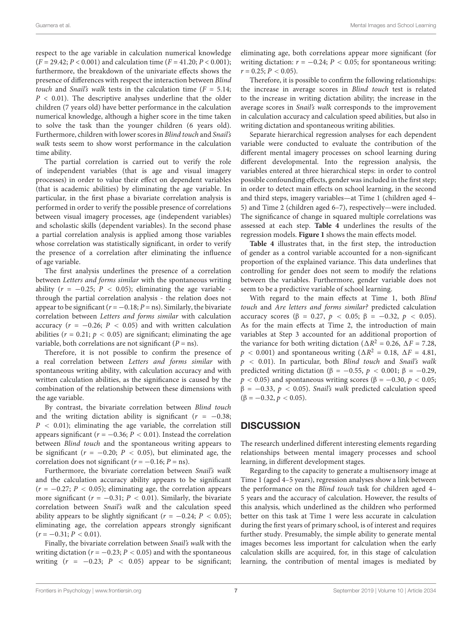respect to the age variable in calculation numerical knowledge  $(F = 29.42; P < 0.001)$  and calculation time  $(F = 41.20; P < 0.001)$ ; furthermore, the breakdown of the univariate effects shows the presence of differences with respect the interaction between Blind touch and Snail's walk tests in the calculation time  $(F = 5.14;$  $P < 0.01$ ). The descriptive analyses underline that the older children (7 years old) have better performance in the calculation numerical knowledge, although a higher score in the time taken to solve the task than the younger children (6 years old). Furthermore, children with lower scores in Blind touch and Snail's walk tests seem to show worst performance in the calculation time ability.

The partial correlation is carried out to verify the role of independent variables (that is age and visual imagery processes) in order to value their effect on dependent variables (that is academic abilities) by eliminating the age variable. In particular, in the first phase a bivariate correlation analysis is performed in order to verify the possible presence of correlations between visual imagery processes, age (independent variables) and scholastic skills (dependent variables). In the second phase a partial correlation analysis is applied among those variables whose correlation was statistically significant, in order to verify the presence of a correlation after eliminating the influence of age variable.

The first analysis underlines the presence of a correlation between Letters and forms similar with the spontaneous writing ability ( $r = -0.25$ ;  $P < 0.05$ ); eliminating the age variable through the partial correlation analysis - the relation does not appear to be significant ( $r = -0.18; P = \text{ns}$ ). Similarly, the bivariate correlation between Letters and forms similar with calculation accuracy ( $r = -0.26$ ;  $P < 0.05$ ) and with written calculation abilities ( $r = 0.21$ ;  $p < 0.05$ ) are significant; eliminating the age variable, both correlations are not significant ( $P =$ ns).

Therefore, it is not possible to confirm the presence of a real correlation between Letters and forms similar with spontaneous writing ability, with calculation accuracy and with written calculation abilities, as the significance is caused by the combination of the relationship between these dimensions with the age variable.

By contrast, the bivariate correlation between Blind touch and the writing dictation ability is significant ( $r = -0.38$ ;  $P < 0.01$ ); eliminating the age variable, the correlation still appears significant ( $r = -0.36$ ;  $P < 0.01$ ). Instead the correlation between Blind touch and the spontaneous writing appears to be significant ( $r = -0.20$ ;  $P < 0.05$ ), but eliminated age, the correlation does not significant ( $r = -0.16$ ;  $P =$ ns).

Furthermore, the bivariate correlation between Snail's walk and the calculation accuracy ability appears to be significant  $(r = -0.27; P < 0.05)$ ; eliminating age, the correlation appears more significant ( $r = -0.31$ ;  $P < 0.01$ ). Similarly, the bivariate correlation between Snail's walk and the calculation speed ability appears to be slightly significant ( $r = -0.24$ ;  $P < 0.05$ ); eliminating age, the correlation appears strongly significant  $(r = -0.31; P < 0.01)$ .

Finally, the bivariate correlation between Snail's walk with the writing dictation ( $r = -0.23$ ;  $P < 0.05$ ) and with the spontaneous writing  $(r = -0.23; P < 0.05)$  appear to be significant; eliminating age, both correlations appear more significant (for writing dictation:  $r = -0.24$ ;  $P < 0.05$ ; for spontaneous writing:  $r = 0.25$ ;  $P < 0.05$ ).

Therefore, it is possible to confirm the following relationships: the increase in average scores in Blind touch test is related to the increase in writing dictation ability; the increase in the average scores in Snail's walk corresponds to the improvement in calculation accuracy and calculation speed abilities, but also in writing dictation and spontaneous writing abilities.

Separate hierarchical regression analyses for each dependent variable were conducted to evaluate the contribution of the different mental imagery processes on school learning during different developmental. Into the regression analysis, the variables entered at three hierarchical steps: in order to control possible confounding effects, gender was included in the first step; in order to detect main effects on school learning, in the second and third steps, imagery variables—at Time 1 (children aged 4– 5) and Time 2 (children aged 6–7), respectively—were included. The significance of change in squared multiple correlations was assessed at each step. **[Table 4](#page-7-0)** underlines the results of the regression models. **[Figure 1](#page-9-0)** shows the main effects model.

**[Table 4](#page-7-0)** illustrates that, in the first step, the introduction of gender as a control variable accounted for a non-significant proportion of the explained variance. This data underlines that controlling for gender does not seem to modify the relations between the variables. Furthermore, gender variable does not seem to be a predictive variable of school learning.

With regard to the main effects at Time 1, both Blind touch and Are letters and forms similar? predicted calculation accuracy scores (β = 0.27,  $p < 0.05$ ; β = -0.32,  $p < 0.05$ ). As for the main effects at Time 2, the introduction of main variables at Step 3 accounted for an additional proportion of the variance for both writing dictation ( $\Delta R^2 = 0.26$ ,  $\Delta F = 7.28$ ,  $p < 0.001$ ) and spontaneous writing ( $\Delta R^2 = 0.18, \ \Delta F = 4.81,$  $p$  < 0.01). In particular, both Blind touch and Snail's walk predicted writing dictation ( $\beta = -0.55$ ,  $p < 0.001$ ;  $\beta = -0.29$ ,  $p < 0.05$ ) and spontaneous writing scores ( $\beta = -0.30, p < 0.05$ ;  $β = -0.33, p < 0.05$ . *Snail's walk* predicted calculation speed  $(\beta = -0.32, p < 0.05)$ .

# **DISCUSSION**

The research underlined different interesting elements regarding relationships between mental imagery processes and school learning, in different development stages.

Regarding to the capacity to generate a multisensory image at Time 1 (aged 4–5 years), regression analyses show a link between the performance on the Blind touch task for children aged 4– 5 years and the accuracy of calculation. However, the results of this analysis, which underlined as the children who performed better on this task at Time 1 were less accurate in calculation during the first years of primary school, is of interest and requires further study. Presumably, the simple ability to generate mental images becomes less important for calculation when the early calculation skills are acquired, for, in this stage of calculation learning, the contribution of mental images is mediated by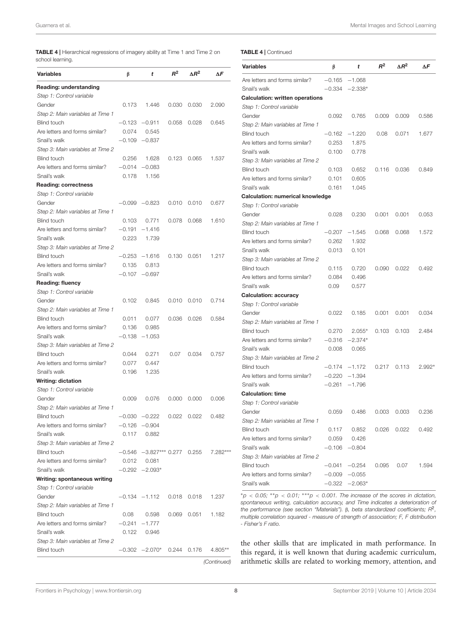<span id="page-7-0"></span>TABLE 4 | Hierarchical regressions of imagery ability at Time 1 and Time 2 on school learning

#### TABLE 4 | Continued

| scrioor iearriirig.              |       |                                  |             |                     |           | <b>Variables</b>                                                                                                                                                                | β        | t                | $R^2$ | $\Delta R^2$ | $\Delta F$ |
|----------------------------------|-------|----------------------------------|-------------|---------------------|-----------|---------------------------------------------------------------------------------------------------------------------------------------------------------------------------------|----------|------------------|-------|--------------|------------|
| Variables                        | β     | t                                | $R^2$       | $\Delta R^2$        | ΔF        | Are letters and forms similar?                                                                                                                                                  |          | $-0.165 - 1.068$ |       |              |            |
| Reading: understanding           |       |                                  |             |                     |           | Snail's walk                                                                                                                                                                    |          | $-0.334 -2.338*$ |       |              |            |
| Step 1: Control variable         |       |                                  |             |                     |           | <b>Calculation: written operations</b>                                                                                                                                          |          |                  |       |              |            |
| Gender                           | 0.173 | 1.446                            | 0.030       | 0.030               | 2.090     | Step 1: Control variable                                                                                                                                                        |          |                  |       |              |            |
| Step 2: Main variables at Time 1 |       |                                  |             |                     |           | Gender                                                                                                                                                                          | 0.092    | 0.765            | 0.009 | 0.009        | 0.586      |
| <b>Blind touch</b>               |       | $-0.123 -0.911$                  | 0.058       | 0.028               | 0.645     |                                                                                                                                                                                 |          |                  |       |              |            |
| Are letters and forms similar?   | 0.074 | 0.545                            |             |                     |           | Step 2: Main variables at Time 1<br><b>Blind touch</b>                                                                                                                          | $-0.162$ | $-1.220$         | 0.08  | 0.071        | 1.677      |
| Snail's walk                     |       | $-0.109 -0.837$                  |             |                     |           |                                                                                                                                                                                 |          |                  |       |              |            |
| Step 3: Main variables at Time 2 |       |                                  |             |                     |           | Are letters and forms similar?                                                                                                                                                  | 0.253    | 1.875            |       |              |            |
| <b>Blind touch</b>               | 0.256 | 1.628                            | 0.123       | 0.065               | 1.537     | Snail's walk                                                                                                                                                                    | 0.100    | 0.778            |       |              |            |
| Are letters and forms similar?   |       | $-0.014 -0.083$                  |             |                     |           | Step 3: Main variables at Time 2                                                                                                                                                |          |                  |       |              |            |
| Snail's walk                     | 0.178 | 1.156                            |             |                     |           | <b>Blind touch</b>                                                                                                                                                              | 0.103    | 0.652            | 0.116 | 0.036        | 0.849      |
| <b>Reading: correctness</b>      |       |                                  |             |                     |           | Are letters and forms similar?                                                                                                                                                  | 0.101    | 0.605            |       |              |            |
| Step 1: Control variable         |       |                                  |             |                     |           | Snail's walk                                                                                                                                                                    | 0.161    | 1.045            |       |              |            |
| Gender                           |       | $-0.099 -0.823$                  | 0.010       | 0.010               | 0.677     | <b>Calculation: numerical knowledge</b>                                                                                                                                         |          |                  |       |              |            |
| Step 2: Main variables at Time 1 |       |                                  |             |                     |           | Step 1: Control variable                                                                                                                                                        |          |                  |       |              |            |
| <b>Blind touch</b>               | 0.103 | 0.771                            | 0.078       | 0.068               | 1.610     | Gender                                                                                                                                                                          | 0.028    | 0.230            | 0.001 | 0.001        | 0.053      |
| Are letters and forms similar?   |       | $-0.191 - 1.416$                 |             |                     |           | Step 2: Main variables at Time 1                                                                                                                                                |          |                  |       |              |            |
| Snail's walk                     | 0.223 | 1.739                            |             |                     |           | <b>Blind touch</b>                                                                                                                                                              | $-0.207$ | $-1.545$         | 0.068 | 0.068        | 1.572      |
| Step 3: Main variables at Time 2 |       |                                  |             |                     |           | Are letters and forms similar?                                                                                                                                                  | 0.262    | 1.932            |       |              |            |
| <b>Blind touch</b>               |       | $-0.253 -1.616$                  | 0.130       | 0.051               | 1.217     | Snail's walk                                                                                                                                                                    | 0.013    | 0.101            |       |              |            |
| Are letters and forms similar?   | 0.135 | 0.813                            |             |                     |           | Step 3: Main variables at Time 2                                                                                                                                                |          |                  |       |              |            |
|                                  |       |                                  |             |                     |           | <b>Blind touch</b>                                                                                                                                                              | 0.115    | 0.720            | 0.090 | 0.022        | 0.492      |
| Snail's walk                     |       | $-0.107 -0.697$                  |             |                     |           | Are letters and forms similar?                                                                                                                                                  | 0.084    | 0.496            |       |              |            |
| <b>Reading: fluency</b>          |       |                                  |             |                     |           | Snail's walk                                                                                                                                                                    | 0.09     | 0.577            |       |              |            |
| Step 1: Control variable         |       |                                  |             |                     |           | <b>Calculation: accuracy</b>                                                                                                                                                    |          |                  |       |              |            |
| Gender                           | 0.102 | 0.845                            | 0.010       | 0.010               | 0.714     | Step 1: Control variable                                                                                                                                                        |          |                  |       |              |            |
| Step 2: Main variables at Time 1 |       |                                  |             |                     |           | Gender                                                                                                                                                                          | 0.022    | 0.185            | 0.001 | 0.001        | 0.034      |
| <b>Blind touch</b>               | 0.011 | 0.077                            | 0.036       | 0.026               | 0.584     | Step 2: Main variables at Time 1                                                                                                                                                |          |                  |       |              |            |
| Are letters and forms similar?   | 0.136 | 0.985                            |             |                     |           | <b>Blind touch</b>                                                                                                                                                              | 0.270    | $2.055*$         | 0.103 | 0.103        | 2.484      |
| Snail's walk                     |       | $-0.138 -1.053$                  |             |                     |           | Are letters and forms similar?                                                                                                                                                  | $-0.316$ | $-2.374*$        |       |              |            |
| Step 3: Main variables at Time 2 |       |                                  |             |                     |           | Snail's walk                                                                                                                                                                    | 0.008    | 0.065            |       |              |            |
| <b>Blind touch</b>               | 0.044 | 0.271                            | 0.07        | 0.034               | 0.757     | Step 3: Main variables at Time 2                                                                                                                                                |          |                  |       |              |            |
| Are letters and forms similar?   | 0.077 | 0.447                            |             |                     |           | <b>Blind touch</b>                                                                                                                                                              |          | $-0.174 - 1.172$ | 0.217 | 0.113        | 2.992*     |
| Snail's walk                     | 0.196 | 1.235                            |             |                     |           | Are letters and forms similar?                                                                                                                                                  |          | $-0.220 -1.394$  |       |              |            |
| <b>Writing: dictation</b>        |       |                                  |             |                     |           | Snail's walk                                                                                                                                                                    |          | $-0.261 - 1.796$ |       |              |            |
| Step 1: Control variable         |       |                                  |             |                     |           | <b>Calculation: time</b>                                                                                                                                                        |          |                  |       |              |            |
| Gender                           | 0.009 | 0.076                            |             | $0.000 \quad 0.000$ | 0.006     | Step 1: Control variable                                                                                                                                                        |          |                  |       |              |            |
| Step 2: Main variables at Time 1 |       |                                  |             |                     |           | Gender                                                                                                                                                                          | 0.059    | 0.486            | 0.003 | 0.003        | 0.236      |
| Blind touch                      |       | $-0.030 -0.222$                  | 0.022 0.022 |                     | 0.482     | Step 2: Main variables at Time 1                                                                                                                                                |          |                  |       |              |            |
| Are letters and forms similar?   |       | $-0.126 -0.904$                  |             |                     |           | <b>Blind touch</b>                                                                                                                                                              | 0.117    | 0.852            | 0.026 | 0.022        | 0.492      |
| Snail's walk                     | 0.117 | 0.882                            |             |                     |           | Are letters and forms similar?                                                                                                                                                  | 0.059    | 0.426            |       |              |            |
| Step 3: Main variables at Time 2 |       |                                  |             |                     |           | Snail's walk                                                                                                                                                                    |          | $-0.106 -0.804$  |       |              |            |
| <b>Blind touch</b>               |       | $-0.546$ $-3.827***$ 0.277 0.255 |             |                     | 7.282 *** | Step 3: Main variables at Time 2                                                                                                                                                |          |                  |       |              |            |
| Are letters and forms similar?   | 0.012 | 0.081                            |             |                     |           | <b>Blind touch</b>                                                                                                                                                              |          | $-0.041 -0.254$  | 0.095 | 0.07         | 1.594      |
| Snail's walk                     |       | $-0.292 -2.093*$                 |             |                     |           | Are letters and forms similar?                                                                                                                                                  |          | $-0.009 -0.055$  |       |              |            |
| Writing: spontaneous writing     |       |                                  |             |                     |           | Snail's walk                                                                                                                                                                    |          | $-0.322 -2.063*$ |       |              |            |
| Step 1: Control variable         |       |                                  |             |                     |           |                                                                                                                                                                                 |          |                  |       |              |            |
| Gender                           |       | $-0.134 -1.112$                  |             | $0.018$ 0.018       | 1.237     | $np < 0.05$ ; **p < 0.01; ***p < 0.001. The increase of the scores in dictation,                                                                                                |          |                  |       |              |            |
| Step 2: Main variables at Time 1 |       |                                  |             |                     |           | spontaneous writing, calculation accuracy, and Time indicates a deterioration of<br>the performance (see section "Materials"). $\beta$ , beta standardized coefficients; $R2$ , |          |                  |       |              |            |
| <b>Blind touch</b>               | 0.08  | 0.598                            | 0.069       | 0.051               | 1.182     | multiple correlation squared - measure of strength of association; F, F distribution                                                                                            |          |                  |       |              |            |
| Are letters and forms similar?   |       | $-0.241 -1.777$                  |             |                     |           | - Fisher's F ratio.                                                                                                                                                             |          |                  |       |              |            |
| Snail's walk                     | 0.122 | 0.946                            |             |                     |           |                                                                                                                                                                                 |          |                  |       |              |            |
| Step 3: Main variables at Time 2 |       |                                  |             |                     |           | the other skills that are implicated in math performance. In                                                                                                                    |          |                  |       |              |            |
| <b>Blind touch</b>               |       | $-0.302$ $-2.070*$ 0.244 0.176   |             |                     | 4.805**   | this normal it is well began that during assigning sumisminum                                                                                                                   |          |                  |       |              |            |

this regard, it is well known that during academic curriculum, arithmetic skills are related to working memory, attention, and

(Continued)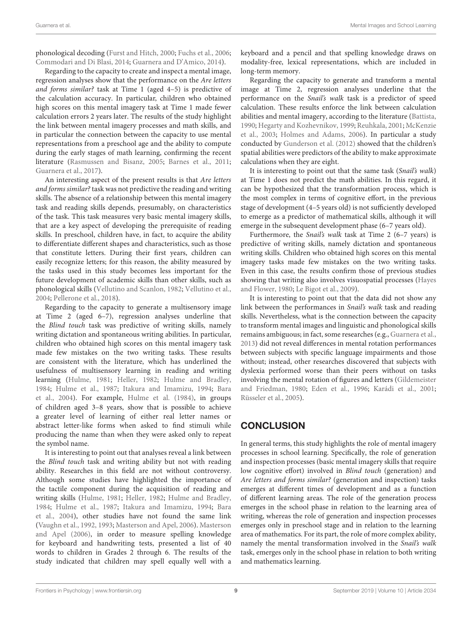phonological decoding [\(Furst and Hitch,](#page-11-30) [2000;](#page-11-30) [Fuchs et al.,](#page-11-31) [2006;](#page-11-31) [Commodari and Di Blasi,](#page-10-15) [2014;](#page-10-15) [Guarnera and D'Amico,](#page-11-23) [2014\)](#page-11-23).

Regarding to the capacity to create and inspect a mental image, regression analyses show that the performance on the Are letters and forms similar? task at Time 1 (aged 4–5) is predictive of the calculation accuracy. In particular, children who obtained high scores on this mental imagery task at Time 1 made fewer calculation errors 2 years later. The results of the study highlight the link between mental imagery processes and math skills, and in particular the connection between the capacity to use mental representations from a preschool age and the ability to compute during the early stages of math learning, confirming the recent literature [\(Rasmussen and Bisanz,](#page-12-6) [2005;](#page-12-6) [Barnes et al.,](#page-10-25) [2011;](#page-10-25) [Guarnera et al.,](#page-11-27) [2017\)](#page-11-27).

An interesting aspect of the present results is that Are letters and forms similar? task was not predictive the reading and writing skills. The absence of a relationship between this mental imagery task and reading skills depends, presumably, on characteristics of the task. This task measures very basic mental imagery skills, that are a key aspect of developing the prerequisite of reading skills. In preschool, children have, in fact, to acquire the ability to differentiate different shapes and characteristics, such as those that constitute letters. During their first years, children can easily recognize letters; for this reason, the ability measured by the tasks used in this study becomes less important for the future development of academic skills than other skills, such as phonological skills [\(Vellutino and Scanlon,](#page-12-12) [1982;](#page-12-12) [Vellutino et al.,](#page-12-8) [2004;](#page-12-8) [Pellerone et al.,](#page-11-32) [2018\)](#page-11-32).

Regarding to the capacity to generate a multisensory image at Time 2 (aged 6–7), regression analyses underline that the Blind touch task was predictive of writing skills, namely writing dictation and spontaneous writing abilities. In particular, children who obtained high scores on this mental imagery task made few mistakes on the two writing tasks. These results are consistent with the literature, which has underlined the usefulness of multisensory learning in reading and writing learning [\(Hulme,](#page-11-33) [1981;](#page-11-33) [Heller,](#page-11-34) [1982;](#page-11-34) [Hulme and Bradley,](#page-11-35) [1984;](#page-11-35) [Hulme et al.,](#page-11-36) [1987;](#page-11-36) [Itakura and Imamizu,](#page-11-37) [1994;](#page-11-37) [Bara](#page-10-4) [et al.,](#page-10-4) [2004\)](#page-10-4). For example, [Hulme et al.](#page-11-38) [\(1984\)](#page-11-38), in groups of children aged 3–8 years, show that is possible to achieve a greater level of learning of either real letter names or abstract letter-like forms when asked to find stimuli while producing the name than when they were asked only to repeat the symbol name.

It is interesting to point out that analyses reveal a link between the Blind touch task and writing ability but not with reading ability. Researches in this field are not without controversy. Although some studies have highlighted the importance of the tactile component during the acquisition of reading and writing skills [\(Hulme,](#page-11-33) [1981;](#page-11-33) [Heller,](#page-11-34) [1982;](#page-11-34) [Hulme and Bradley,](#page-11-35) [1984;](#page-11-35) [Hulme et al.,](#page-11-36) [1987;](#page-11-36) [Itakura and Imamizu,](#page-11-37) [1994;](#page-11-37) [Bara](#page-10-4) [et al.,](#page-10-4) [2004\)](#page-10-4), other studies have not found the same link [\(Vaughn et al.,](#page-12-13) [1992,](#page-12-13) [1993;](#page-12-14) [Masterson and Apel,](#page-11-39) [2006\)](#page-11-39). [Masterson](#page-11-39) [and Apel](#page-11-39) [\(2006\)](#page-11-39), in order to measure spelling knowledge for keyboard and handwriting tests, presented a list of 40 words to children in Grades 2 through 6. The results of the study indicated that children may spell equally well with a

keyboard and a pencil and that spelling knowledge draws on modality-free, lexical representations, which are included in long-term memory.

Regarding the capacity to generate and transform a mental image at Time 2, regression analyses underline that the performance on the Snail's walk task is a predictor of speed calculation. These results enforce the link between calculation abilities and mental imagery, according to the literature [\(Battista,](#page-10-8) [1990;](#page-10-8) [Hegarty and Kozhevnikov,](#page-11-10) [1999;](#page-11-10) [Reuhkala,](#page-12-7) [2001;](#page-12-7) [McKenzie](#page-11-12) [et al.,](#page-11-12) [2003;](#page-11-12) [Holmes and Adams,](#page-11-40) [2006\)](#page-11-40). In particular a study conducted by [Gunderson et al.](#page-11-21) [\(2012\)](#page-11-21) showed that the children's spatial abilities were predictors of the ability to make approximate calculations when they are eight.

It is interesting to point out that the same task (Snail's walk) at Time 1 does not predict the math abilities. In this regard, it can be hypothesized that the transformation process, which is the most complex in terms of cognitive effort, in the previous stage of development (4–5 years old) is not sufficiently developed to emerge as a predictor of mathematical skills, although it will emerge in the subsequent development phase (6–7 years old).

Furthermore, the Snail's walk task at Time 2 (6–7 years) is predictive of writing skills, namely dictation and spontaneous writing skills. Children who obtained high scores on this mental imagery tasks made few mistakes on the two writing tasks. Even in this case, the results confirm those of previous studies showing that writing also involves visuospatial processes [\(Hayes](#page-11-41) [and Flower,](#page-11-41) [1980;](#page-11-41) [Le Bigot et al.,](#page-11-42) [2009\)](#page-11-42).

It is interesting to point out that the data did not show any link between the performances in Snail's walk task and reading skills. Nevertheless, what is the connection between the capacity to transform mental images and linguistic and phonological skills remains ambiguous; in fact, some researches (e.g., [Guarnera et al.,](#page-11-43) [2013\)](#page-11-43) did not reveal differences in mental rotation performances between subjects with specific language impairments and those without; instead, other researches discovered that subjects with dyslexia performed worse than their peers without on tasks involving the mental rotation of figures and letters [\(Gildemeister](#page-11-44) [and Friedman,](#page-11-44) [1980;](#page-11-44) [Eden et al.,](#page-10-26) [1996;](#page-10-26) [Karádi et al.,](#page-11-45) [2001;](#page-11-45) [Rüsseler et al.,](#page-12-15) [2005\)](#page-12-15).

# **CONCLUSION**

In general terms, this study highlights the role of mental imagery processes in school learning. Specifically, the role of generation and inspection processes (basic mental imagery skills that require low cognitive effort) involved in Blind touch (generation) and Are letters and forms similar? (generation and inspection) tasks emerges at different times of development and as a function of different learning areas. The role of the generation process emerges in the school phase in relation to the learning area of writing, whereas the role of generation and inspection processes emerges only in preschool stage and in relation to the learning area of mathematics. For its part, the role of more complex ability, namely the mental transformation involved in the Snail's walk task, emerges only in the school phase in relation to both writing and mathematics learning.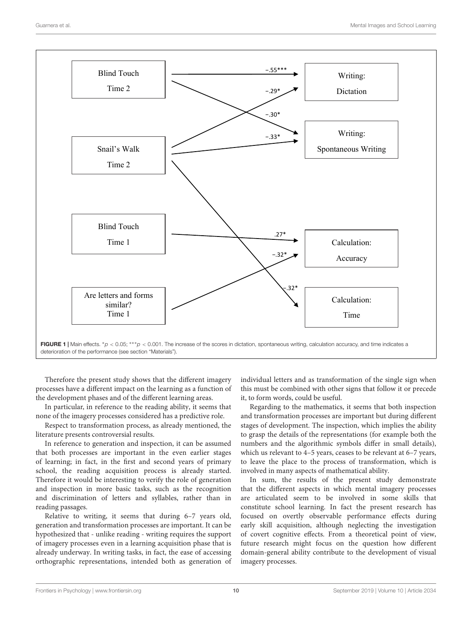

<span id="page-9-0"></span>FIGURE 1 | Main effects. \* $p < 0.05$ ; \*\*\* $p < 0.001$ . The increase of the scores in dictation, spontaneous writing, calculation accuracy, and time indicates a deterioration of the performance (see section "Materials").

Therefore the present study shows that the different imagery processes have a different impact on the learning as a function of the development phases and of the different learning areas.

In particular, in reference to the reading ability, it seems that none of the imagery processes considered has a predictive role.

Respect to transformation process, as already mentioned, the literature presents controversial results.

In reference to generation and inspection, it can be assumed that both processes are important in the even earlier stages of learning; in fact, in the first and second years of primary school, the reading acquisition process is already started. Therefore it would be interesting to verify the role of generation and inspection in more basic tasks, such as the recognition and discrimination of letters and syllables, rather than in reading passages.

Relative to writing, it seems that during 6–7 years old, generation and transformation processes are important. It can be hypothesized that - unlike reading - writing requires the support of imagery processes even in a learning acquisition phase that is already underway. In writing tasks, in fact, the ease of accessing orthographic representations, intended both as generation of individual letters and as transformation of the single sign when this must be combined with other signs that follow it or precede it, to form words, could be useful.

Regarding to the mathematics, it seems that both inspection and transformation processes are important but during different stages of development. The inspection, which implies the ability to grasp the details of the representations (for example both the numbers and the algorithmic symbols differ in small details), which us relevant to 4–5 years, ceases to be relevant at 6–7 years, to leave the place to the process of transformation, which is involved in many aspects of mathematical ability.

In sum, the results of the present study demonstrate that the different aspects in which mental imagery processes are articulated seem to be involved in some skills that constitute school learning. In fact the present research has focused on overtly observable performance effects during early skill acquisition, although neglecting the investigation of covert cognitive effects. From a theoretical point of view, future research might focus on the question how different domain-general ability contribute to the development of visual imagery processes.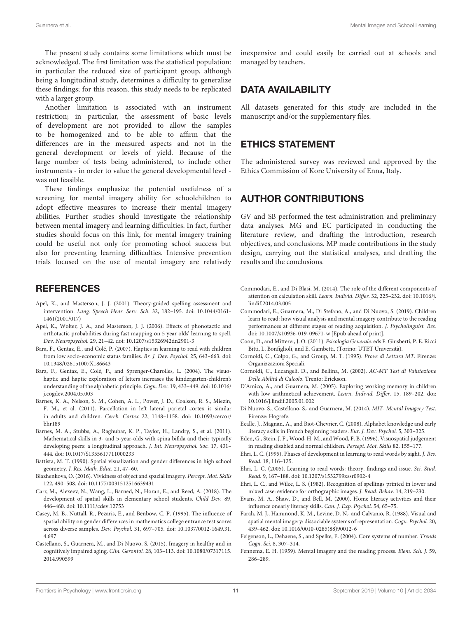The present study contains some limitations which must be acknowledged. The first limitation was the statistical population: in particular the reduced size of participant group, although being a longitudinal study, determines a difficulty to generalize these findings; for this reason, this study needs to be replicated with a larger group.

Another limitation is associated with an instrument restriction; in particular, the assessment of basic levels of development are not provided to allow the samples to be homogenized and to be able to affirm that the differences are in the measured aspects and not in the general development or levels of yield. Because of the large number of tests being administered, to include other instruments - in order to value the general developmental level was not feasible.

These findings emphasize the potential usefulness of a screening for mental imagery ability for schoolchildren to adopt effective measures to increase their mental imagery abilities. Further studies should investigate the relationship between mental imagery and learning difficulties. In fact, further studies should focus on this link, for mental imagery training could be useful not only for promoting school success but also for preventing learning difficulties. Intensive prevention trials focused on the use of mental imagery are relatively

# **REFERENCES**

- <span id="page-10-3"></span>Apel, K., and Masterson, J. J. (2001). Theory-guided spelling assessment and intervention. Lang. Speech Hear. Serv. Sch. 32, 182–195. [doi: 10.1044/0161-](https://doi.org/10.1044/0161-1461(2001/017)) [1461\(2001/017\)](https://doi.org/10.1044/0161-1461(2001/017))
- <span id="page-10-19"></span>Apel, K., Wolter, J. A., and Masterson, J. J. (2006). Effects of phonotactic and orthotactic probabilities during fast mapping on 5 year olds' learning to spell. Dev. Neuropsychol. 29, 21–42. [doi: 10.1207/s15326942dn2901-3](https://doi.org/10.1207/s15326942dn2901-3)
- <span id="page-10-20"></span>Bara, F., Gentaz, E., and Colé, P. (2007). Haptics in learning to read with children from low socio-economic status families. Br. J. Dev. Psychol. 25, 643–663. [doi:](https://doi.org/10.1348/026151007X186643) [10.1348/026151007X186643](https://doi.org/10.1348/026151007X186643)
- <span id="page-10-4"></span>Bara, F., Gentaz, E., Colé, P., and Sprenger-Charolles, L. (2004). The visuohaptic and haptic exploration of letters increases the kindergarten-children's understanding of the alphabetic principle. Cogn. Dev. 19, 433–449. [doi: 10.1016/](https://doi.org/10.1016/j.cogdev.2004.05.003) [j.cogdev.2004.05.003](https://doi.org/10.1016/j.cogdev.2004.05.003)
- <span id="page-10-25"></span>Barnes, K. A., Nelson, S. M., Cohen, A. L., Power, J. D., Coalson, R. S., Miezin, F. M., et al. (2011). Parcellation in left lateral parietal cortex is similar in adults and children. Cereb. Cortex 22, 1148–1158. [doi: 10.1093/cercor/](https://doi.org/10.1093/cercor/bhr189) [bhr189](https://doi.org/10.1093/cercor/bhr189)
- <span id="page-10-7"></span>Barnes, M. A., Stubbs, A., Raghubar, K. P., Taylor, H., Landry, S., et al. (2011). Mathematical skills in 3- and 5-year-olds with spina bifida and their typically developing peers: a longitudinal approach. J. Int. Neuropsychol. Soc. 17, 431– 444. [doi: 10.1017/S1355617711000233](https://doi.org/10.1017/S1355617711000233)
- <span id="page-10-8"></span>Battista, M. T. (1990). Spatial visualization and gender differences in high school geometry. J. Res. Math. Educ. 21, 47–60.
- <span id="page-10-6"></span>Blazhenkova, O. (2016). Vividness of object and spazial imagery. Percept. Mot. Skills 122, 490–508. [doi: 10.1177/0031512516639431](https://doi.org/10.1177/0031512516639431)
- <span id="page-10-11"></span>Carr, M., Alexeev, N., Wang, L., Barned, N., Horan, E., and Reed, A. (2018). The development of spatial skills in elementary school students. Child Dev. 89, 446–460. [doi: 10.1111/cdev.12753](https://doi.org/10.1111/cdev.12753)
- <span id="page-10-9"></span>Casey, M. B., Nuttall, R., Pezaris, E., and Benbow, C. P. (1995). The influence of spatial ability on gender differences in mathematics college entrance test scores across diverse samples. Dev. Psychol. 31, 697–705. [doi: 10.1037/0012-1649.31.](https://doi.org/10.1037/0012-1649.31.4.697) [4.697](https://doi.org/10.1037/0012-1649.31.4.697)
- <span id="page-10-24"></span>Castellano, S., Guarnera, M., and Di Nuovo, S. (2015). Imagery in healthy and in cognitively impaired aging. Clin. Gerontol. 28, 103–113. [doi: 10.1080/07317115.](https://doi.org/10.1080/07317115.2014.990599) [2014.990599](https://doi.org/10.1080/07317115.2014.990599)

inexpensive and could easily be carried out at schools and managed by teachers.

### DATA AVAILABILITY

All datasets generated for this study are included in the manuscript and/or the supplementary files.

### ETHICS STATEMENT

The administered survey was reviewed and approved by the Ethics Commission of Kore University of Enna, Italy.

### AUTHOR CONTRIBUTIONS

GV and SB performed the test administration and preliminary data analyses. MG and EC participated in conducting the literature review, and drafting the introduction, research objectives, and conclusions. MP made contributions in the study design, carrying out the statistical analyses, and drafting the results and the conclusions.

- <span id="page-10-15"></span>Commodari, E., and Di Blasi, M. (2014). The role of the different components of attention on calculation skill. Learn. Individ. Differ. 32, 225–232. [doi: 10.1016/j.](https://doi.org/10.1016/j.lindif.2014.03.005) [lindif.2014.03.005](https://doi.org/10.1016/j.lindif.2014.03.005)
- <span id="page-10-16"></span>Commodari, E., Guarnera, M., Di Stefano, A., and Di Nuovo, S. (2019). Children learn to read: how visual analysis and mental imagery contribute to the reading performances at different stages of reading acquisition. J. Psycholinguist. Res. [doi: 10.1007/s10936-019-09671-w](https://doi.org/10.1007/s10936-019-09671-w) [Epub ahead of print].
- <span id="page-10-1"></span>Coon, D., and Mitterer, J. O. (2011). Psicologia Generale. eds F. Giusberti, P. E. Ricci Bitti, L. Bonfiglioli, and E. Gambetti, (Torino: UTET Università).
- <span id="page-10-21"></span>Cornoldi, C., Colpo, G., and Group, M. T. (1995). Prove di Lettura MT. Firenze: Organizzazioni Speciali.
- <span id="page-10-22"></span>Cornoldi, C., Lucangeli, D., and Bellina, M. (2002). AC-MT Test di Valutazione Delle Abilità di Calcolo. Trento: Erickson.
- <span id="page-10-13"></span>D'Amico, A., and Guarnera, M. (2005). Exploring working memory in children with low arithmetical achievement. Learn. Individ. Differ. 15, 189–202. [doi:](https://doi.org/10.1016/j.lindif.2005.01.002) [10.1016/j.lindif.2005.01.002](https://doi.org/10.1016/j.lindif.2005.01.002)
- <span id="page-10-23"></span>Di Nuovo, S., Castellano, S., and Guarnera, M. (2014). MIT- Mental Imagery Test. Firenze: Hogrefe.
- <span id="page-10-14"></span>Ecalle, J., Magnan, A., and Biot-Chevrier, C. (2008). Alphabet knowledge and early literacy skills in French beginning readers. Eur. J. Dev. Psychol. 5, 303–325.
- <span id="page-10-26"></span>Eden, G., Stein, J. F., Wood, H. M., and Wood, F. B. (1996). Visuospatial judgement in reading disabled and normal children. Percept. Mot. Skills 82, 155–177.
- <span id="page-10-5"></span>Ehri, L. C. (1995). Phases of development in learning to read words by sight. J. Res. Read. 18, 116–125.
- <span id="page-10-18"></span>Ehri, L. C. (2005). Learning to read words: theory, findings and issue. Sci. Stud. Read. 9, 167–188. [doi: 10.1207/s1532799xssr0902-4](https://doi.org/10.1207/s1532799xssr0902-4)
- <span id="page-10-2"></span>Ehri, L. C., and Wilce, L. S. (1982). Recognition of spellings printed in lower and mixed case: evidence for orthographic images. J. Read. Behav. 14, 219–230.
- <span id="page-10-12"></span>Evans, M. A., Shaw, D., and Bell, M. (2000). Home literacy activities and their influence onearly literacy skills. Can. J. Exp. Psychol. 54, 65–75.
- <span id="page-10-10"></span>Farah, M. J., Hammond, K. M., Levine, D. N., and Calvanio, R. (1988). Visual and spatial mental imagery: dissociable systems of representation. Cogn. Psychol. 20, 439–462. [doi: 10.1016/0010-0285\(88\)90012-6](https://doi.org/10.1016/0010-0285(88)90012-6)
- <span id="page-10-17"></span>Feigenson, L., Dehaene, S., and Spelke, E. (2004). Core systems of number. Trends Cogn. Sci. 8, 307–314.
- <span id="page-10-0"></span>Fennema, E. H. (1959). Mental imagery and the reading process. Elem. Sch. J. 59, 286–289.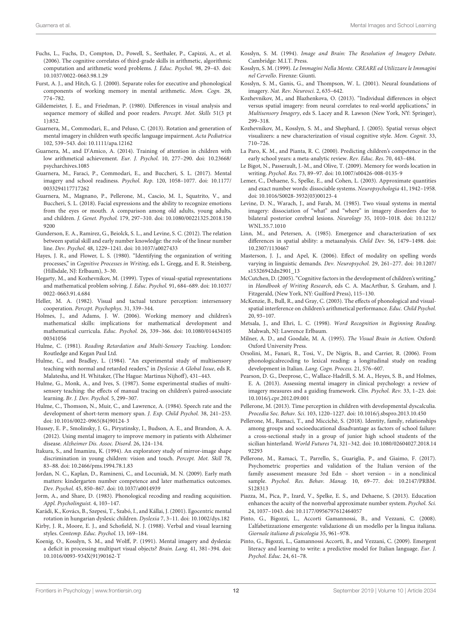- <span id="page-11-31"></span>Fuchs, L., Fuchs, D., Compton, D., Powell, S., Seethaler, P., Capizzi, A., et al. (2006). The cognitive correlates of third-grade skills in arithmetic, algorithmic computation and arithmetic word problems. J. Educ. Psychol. 98, 29–43. [doi:](https://doi.org/10.1037/0022-0663.98.1.29) [10.1037/0022-0663.98.1.29](https://doi.org/10.1037/0022-0663.98.1.29)
- <span id="page-11-30"></span>Furst, A. J., and Hitch, G. J. (2000). Separate roles for executive and phonological components of working memory in mental arithmetic. Mem. Cogn. 28, 774–782.
- <span id="page-11-44"></span>Gildemeister, J. E., and Friedman, P. (1980). Differences in visual analysis and sequence memory of skilled and poor readers. Percept. Mot. Skills 51(3 pt 1):852.
- <span id="page-11-43"></span>Guarnera, M., Commodari, E., and Peluso, C. (2013). Rotation and generation of mental imagery in children wuth specific language impairment. Acta Pediatrica 102, 539–543. [doi: 10.1111/apa.12162](https://doi.org/10.1111/apa.12162)
- <span id="page-11-23"></span>Guarnera, M., and D'Amico, A. (2014). Training of attention in children with low arithmetical achievement. Eur. J. Psychol. 10, 277–290. [doi: 10.23668/](https://doi.org/10.23668/psycharchives.1085) [psycharchives.1085](https://doi.org/10.23668/psycharchives.1085)
- <span id="page-11-27"></span>Guarnera, M., Faraci, P., Commodari, E., and Buccheri, S. L. (2017). Mental imagery and school readiness. Psychol. Rep. 120, 1058–1077. [doi: 10.1177/](https://doi.org/10.1177/0033294117717262) [0033294117717262](https://doi.org/10.1177/0033294117717262)
- <span id="page-11-1"></span>Guarnera, M., Magnano, P., Pellerone, M., Cascio, M. I., Squatrito, V., and Buccheri, S. L. (2018). Facial expressions and the ability to recognize emotions from the eyes or mouth. A comparison among old adults, young adults, and children. J. Genet. Psychol. 179, 297–310. [doi: 10.1080/00221325.2018.150](https://doi.org/10.1080/00221325.2018.1509200) [9200](https://doi.org/10.1080/00221325.2018.1509200)
- <span id="page-11-21"></span>Gunderson, E. A., Ramirez, G., Beiolck, S. L., and Levine, S. C. (2012). The relation between spatial skill and early number knowledge: the role of the linear number line. Dev. Psychol. 48, 1229–1241. [doi: 10.1037/a0027433](https://doi.org/10.1037/a0027433)
- <span id="page-11-41"></span>Hayes, J. R., and Flower, L. S. (1980). "Identifying the organization of writing processes," in Cognitive Processes in Writing, eds L. Gregg, and E. R. Steinberg, (Hillsdale, NJ: Erlbaum), 3–30.
- <span id="page-11-10"></span>Hegarty, M., and Kozhevnikov, M. (1999). Types of visual-spatial representations and mathematical problem solving. J. Educ. Psychol. 91, 684–689. [doi: 10.1037/](https://doi.org/10.1037/0022-0663.91.4.684) [0022-0663.91.4.684](https://doi.org/10.1037/0022-0663.91.4.684)
- <span id="page-11-34"></span>Heller, M. A. (1982). Visual and tactual texture perception: intersensory cooperation. Percept. Psychophys. 31, 339–344.
- <span id="page-11-40"></span>Holmes, J., and Adams, J. W. (2006). Working memory and children's mathematical skills: implications for mathematical development and mathematical curricula. Educ. Psychol. 26, 339–366. [doi: 10.1080/014434105](https://doi.org/10.1080/01443410500341056) [00341056](https://doi.org/10.1080/01443410500341056)
- <span id="page-11-33"></span>Hulme, C. (1981). Reading Retardation and Multi-Sensory Teaching. London: Routledge and Kegan Paul Ltd.
- <span id="page-11-35"></span>Hulme, C., and Bradley, L. (1984). "An experimental study of multisensory teaching with normal and retarded readers," in Dyslexia: A Global Issue, eds R. Malatesha, and H. Whitaker, (The Hague: Martinus Nijhoff), 431–443.
- <span id="page-11-36"></span>Hulme, G., Monk, A., and Ives, S. (1987). Some experimental studies of multisensory teaching: the effects of manual tracing on children's paired-associate learning. Br. J. Dev. Psychol. 5, 299–307.
- <span id="page-11-38"></span>Hulme, C., Thomson, N., Muir, C., and Lawrence, A. (1984). Speech rate and the development of short-term memory span. J. Exp. Child Psychol. 38, 241–253. [doi: 10.1016/0022-0965\(84\)90124-3](https://doi.org/10.1016/0022-0965(84)90124-3)
- <span id="page-11-29"></span>Hussey, E. P., Smolinsky, J. G., Piryatinsky, I., Budson, A. E., and Brandon, A. A. (2012). Using mental imagery to improve memory in patients with Alzheimer disease. Alzheimer Dis. Assoc. Disord. 26, 124–134.
- <span id="page-11-37"></span>Itakura, S., and Imamizu, K. (1994). An exploratory study of mirror-image shape discrimination in young children: vision and touch. Percept. Mot. Skill 78, 83–88. [doi: 10.2466/pms.1994.78.1.83](https://doi.org/10.2466/pms.1994.78.1.83)
- <span id="page-11-17"></span>Jordan, N. C., Kaplan, D., Ramineni, C., and Locuniak, M. N. (2009). Early math matters: kindergarten number competence and later mathematics outcomes. Dev. Psychol. 45, 850–867. [doi: 10.1037/a0014939](https://doi.org/10.1037/a0014939)
- <span id="page-11-26"></span>Jorm, A., and Share, D. (1983). Phonological recoding and reading acquisition. Appl. Psycholinguist. 4, 103–147.
- <span id="page-11-45"></span>Karádi, K., Kovács, B., Szepesi, T., Szabó, I., and Kállai, J. (2001). Egocentric mental rotation in hungarian dyslexic children. Dyslexia 7, 3–11. [doi: 10.1002/dys.182](https://doi.org/10.1002/dys.182)
- <span id="page-11-9"></span>Kirby, J. R., Moore, E. J., and Schofield, N. J. (1988). Verbal and visual learning styles. Contemp. Educ. Psychol. 13, 169–184.
- <span id="page-11-8"></span>Koenig, O., Kosslyn, S. M., and Wolff, P. (1991). Mental imagery and dyslexia: a deficit in processing multipart visual objects? Brain. Lang. 41, 381–394. [doi:](https://doi.org/10.1016/0093-934X(91)90162-T) [10.1016/0093-934X\(91\)90162-T](https://doi.org/10.1016/0093-934X(91)90162-T)
- <span id="page-11-2"></span>Kosslyn, S. M. (1994). Image and Brain: The Resolution of Imagery Debate. Cambridge: M.I.T. Press.
- <span id="page-11-3"></span>Kosslyn, S. M. (1999). Le Immagini Nella Mente. CREARE ed Utilizzare le Immagini nel Cervello. Firenze: Giunti.
- <span id="page-11-5"></span>Kosslyn, S. M., Ganis, G., and Thompson, W. L. (2001). Neural foundations of imagery. Nat. Rev. Neurosci. 2, 635–642.
- <span id="page-11-15"></span>Kozhevnikov, M., and Blazhenkova, O. (2013). "Individual differences in object versus spatial imagery: from neural correlates to real-world applications," in Multisensory Imagery, eds S. Lacey and R. Lawson (New York, NY: Springer), 299–318.
- <span id="page-11-11"></span>Kozhevnikov, M., Kosslyn, S. M., and Shephard, J. (2005). Spatial versus object visualizers: a new characterization of visual cognitive style. Mem. Cognit. 33, 710–726.
- <span id="page-11-18"></span>La Paro, K. M., and Pianta, R. C. (2000). Predicting children's competence in the early school years: a meta-analytic review. Rev. Educ. Res. 70, 443–484.
- <span id="page-11-42"></span>Le Bigot, N., Passerault, J.-M., and Olive, T. (2009). Memory for words location in writing. Psychol. Res. 73, 89–97. [doi: 10.1007/s00426-008-0135-9](https://doi.org/10.1007/s00426-008-0135-9)
- <span id="page-11-24"></span>Lemer, C., Dehaene, S., Spelke, E., and Cohen, L. (2003). Approximate quantities and exact number words: dissociable systems. Neuropsychologia 41, 1942–1958. [doi: 10.1016/S0028-3932\(03\)00123-4](https://doi.org/10.1016/S0028-3932(03)00123-4)
- <span id="page-11-13"></span>Levine, D. N., Warach, J., and Farah, M. (1985). Two visual systems in mental imagery: dissociation of "what" and "where" in imagery disorders due to bilateral posterior cerebral lesions. Neurology 35, 1010–1018. [doi: 10.1212/](https://doi.org/10.1212/WNL.35.7.1010) [WNL.35.7.1010](https://doi.org/10.1212/WNL.35.7.1010)
- <span id="page-11-28"></span>Linn, M., and Petersen, A. (1985). Emergence and characterization of sex differences in spatial ability: a metaanalysis. Child Dev. 56, 1479–1498. [doi:](https://doi.org/10.2307/1130467) [10.2307/1130467](https://doi.org/10.2307/1130467)
- <span id="page-11-39"></span>Masterson, J. J., and Apel, K. (2006). Effect of modality on spelling words varying in linguistic demands. Dev. Neuropsychol. 29, 261–277. [doi: 10.1207/](https://doi.org/10.1207/s15326942dn2901_13) [s15326942dn2901\\_13](https://doi.org/10.1207/s15326942dn2901_13)
- <span id="page-11-22"></span>McCutchen, D. (2005). "Cognitive factors in the development of children's writing," in Handbook of Writing Research, eds C. A. MacArthur, S. Graham, and J. Fitzgerald, (New York, NY: Guilford Press), 115–130.
- <span id="page-11-12"></span>McKenzie, B., Bull, R., and Gray, C. (2003). The effects of phonological and visualspatial interference on children's arithmetical performance. Educ. Child Psychol. 20, 93–107.
- <span id="page-11-7"></span>Metsala, J., and Ehri, L. C. (1998). Word Recognition in Beginning Reading. Mahwah, NJ: Lawrence Erlbaum.
- <span id="page-11-14"></span>Milner, A. D., and Goodale, M. A. (1995). The Visual Brain in Action. Oxford: Oxford University Press.
- <span id="page-11-19"></span>Orsolini, M., Fanari, R., Tosi, V., De Nigris, B., and Carrier, R. (2006). From phonologicalrecoding to lexical reading: a longitudinal study on reading development in Italian. Lang. Cogn. Process. 21, 576–607.
- <span id="page-11-4"></span>Pearson, D. G., Deeprose, C., Wallace-Hadrill, S. M. A., Heyes, S. B., and Holmes, E. A. (2013). Assessing mental imagery in clinical psychology: a review of imagery measures and a guiding framework. Clin. Psychol. Rev. 33, 1–23. [doi:](https://doi.org/10.1016/j.cpr.2012.09.001) [10.1016/j.cpr.2012.09.001](https://doi.org/10.1016/j.cpr.2012.09.001)
- <span id="page-11-6"></span>Pellerone, M. (2013). Time perception in children with developmental dyscalculia. Procedia Soc. Behav. Sci. 103, 1220–1227. [doi: 10.1016/j.sbspro.2013.10.450](https://doi.org/10.1016/j.sbspro.2013.10.450)
- <span id="page-11-32"></span>Pellerone, M., Ramaci, T., and Miccichè, S. (2018). Identity, family, relationships among groups and socioeducational disadvantage as factors of school failure: a cross-sectional study in a group of junior high school students of the sicilian hinterland. World Futures 74, 321–342. [doi: 10.1080/02604027.2018.14](https://doi.org/10.1080/02604027.2018.1492293) [92293](https://doi.org/10.1080/02604027.2018.1492293)
- <span id="page-11-0"></span>Pellerone, M., Ramaci, T., Parrello, S., Guariglia, P., and Giaimo, F. (2017). Psychometric properties and validation of the Italian version of the family assessment measure 3rd Edn – short version – in a nonclinical sample. Psychol. Res. Behav. Manag. 10, 69–77. [doi: 10.2147/PRBM.](https://doi.org/10.2147/PRBM.S128313) [S128313](https://doi.org/10.2147/PRBM.S128313)
- <span id="page-11-25"></span>Piazza, M., Pica, P., Izard, V., Spelke, E. S., and Dehaene, S. (2013). Education enhances the acuity of the nonverbal approximate number system. Psychol. Sci. 24, 1037–1043. [doi: 10.1177/0956797612464057](https://doi.org/10.1177/0956797612464057)
- <span id="page-11-16"></span>Pinto, G., Bigozzi, L., Accorti Gamannossi, B., and Vezzani, C. (2008). L'alfabetizzazione emergente: validazione di un modello per la lingua italiana. Giornale italiano di psicologia 35, 961–978.
- <span id="page-11-20"></span>Pinto, G., Bigozzi, L., Gamannossi Accorti, B., and Vezzani, C. (2009). Emergent literacy and learning to write: a predictive model for Italian language. Eur. J. Psychol. Educ. 24, 61–78.